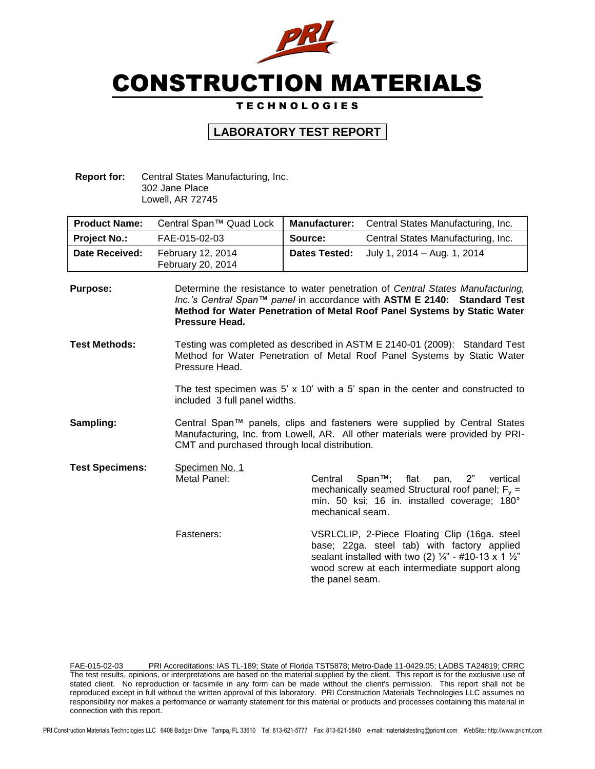

# CONSTRUCTION MATERIALS

### T E C H N O L O G I E S

## **LABORATORY TEST REPORT**

**Report for:** Central States Manufacturing, Inc. 302 Jane Place Lowell, AR 72745

| <b>Product Name:</b>  | Central Span™ Quad Lock                | Central States Manufacturing, Inc.<br><b>Manufacturer:</b> |                                    |
|-----------------------|----------------------------------------|------------------------------------------------------------|------------------------------------|
| <b>Project No.:</b>   | FAE-015-02-03                          | Source:                                                    | Central States Manufacturing, Inc. |
| <b>Date Received:</b> | February 12, 2014<br>February 20, 2014 | <b>Dates Tested:</b>                                       | July 1, 2014 – Aug. 1, 2014        |

**Purpose:** Determine the resistance to water penetration of *Central States Manufacturing, Inc.'s Central Span™ panel* in accordance with **ASTM E 2140: Standard Test Method for Water Penetration of Metal Roof Panel Systems by Static Water Pressure Head***.* **Test Methods:** Testing was completed as described in ASTM E 2140-01 (2009): Standard Test Method for Water Penetration of Metal Roof Panel Systems by Static Water Pressure Head.

> The test specimen was  $5'$  x 10' with a  $5'$  span in the center and constructed to included 3 full panel widths.

- **Sampling:** Central Span™ panels, clips and fasteners were supplied by Central States Manufacturing, Inc. from Lowell, AR. All other materials were provided by PRI-CMT and purchased through local distribution.
- **Test Specimens:** Specimen No. 1

Metal Panel: Central Span™; flat pan, 2" vertical mechanically seamed Structural roof panel;  $F_v =$ min. 50 ksi; 16 in. installed coverage; 180° mechanical seam.

Fasteners: **VSRLCLIP, 2-Piece Floating Clip (16ga. steel** base; 22ga. steel tab) with factory applied sealant installed with two (2)  $\frac{1}{4}$ " - #10-13 x 1  $\frac{1}{2}$ " wood screw at each intermediate support along the panel seam.

FAE-015-02-03 PRI Accreditations: IAS TL-189; State of Florida TST5878; Metro-Dade 11-0429.05; LADBS TA24819; CRRC The test results, opinions, or interpretations are based on the material supplied by the client. This report is for the exclusive use of stated client. No reproduction or facsimile in any form can be made without the client's permission. This report shall not be reproduced except in full without the written approval of this laboratory. PRI Construction Materials Technologies LLC assumes no responsibility nor makes a performance or warranty statement for this material or products and processes containing this material in connection with this report.

PRI Construction Materials Technologies LLC 6408 Badger Drive Tampa, FL 33610 Tel: 813-621-5777 Fax: 813-621-5840 e-mail: materialstesting@pricmt.com WebSite: http://www.pricmt.com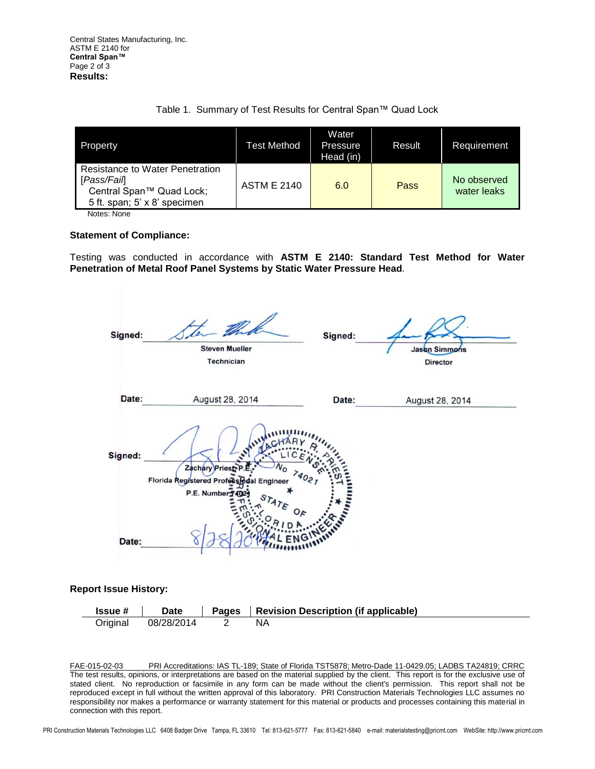| Property                                                                                                   | Test Method        | Water<br>Pressure<br>Head (in) | Result | Requirement                |
|------------------------------------------------------------------------------------------------------------|--------------------|--------------------------------|--------|----------------------------|
| Resistance to Water Penetration<br>[Pass/Fail]<br>Central Span™ Quad Lock;<br>5 ft. span; 5' x 8' specimen | <b>ASTM E 2140</b> | 6.0                            | Pass   | No observed<br>water leaks |

Notes: None

### **Statement of Compliance:**

Testing was conducted in accordance with **ASTM E 2140: Standard Test Method for Water Penetration of Metal Roof Panel Systems by Static Water Pressure Head***.*

| Signed: | <b>Steven Mueller</b><br><b>Technician</b>                                        | Signed:         | Jason Simmons<br>Director |
|---------|-----------------------------------------------------------------------------------|-----------------|---------------------------|
| Date:   | August 28, 2014                                                                   | Date:           | August 28, 2014           |
| Signed: | Zachary Priest<br>٬٥<br>74021<br>Florida Registered Professional Engineer         |                 |                           |
| Date:   | P.E. Number 74029<br>$s_{\tau_{A\mathcal{T}_{\mathcal{E}}}}$<br>$Q_{\mathcal{F}}$ | <b>Antantin</b> |                           |

### **Report Issue History:**

| <b>Issue #</b> | Date       | Pages   Revision Description (if applicable) |
|----------------|------------|----------------------------------------------|
| Original       | 08/28/2014 |                                              |

FAE-015-02-03 PRI Accreditations: IAS TL-189; State of Florida TST5878; Metro-Dade 11-0429.05; LADBS TA24819; CRRC The test results, opinions, or interpretations are based on the material supplied by the client. This report is for the exclusive use of stated client. No reproduction or facsimile in any form can be made without the client's permission. This report shall not be reproduced except in full without the written approval of this laboratory. PRI Construction Materials Technologies LLC assumes no responsibility nor makes a performance or warranty statement for this material or products and processes containing this material in connection with this report.

PRI Construction Materials Technologies LLC 6408 Badger Drive Tampa, FL 33610 Tel: 813-621-5777 Fax: 813-621-5840 e-mail: materialstesting@pricmt.com WebSite: http://www.pricmt.com